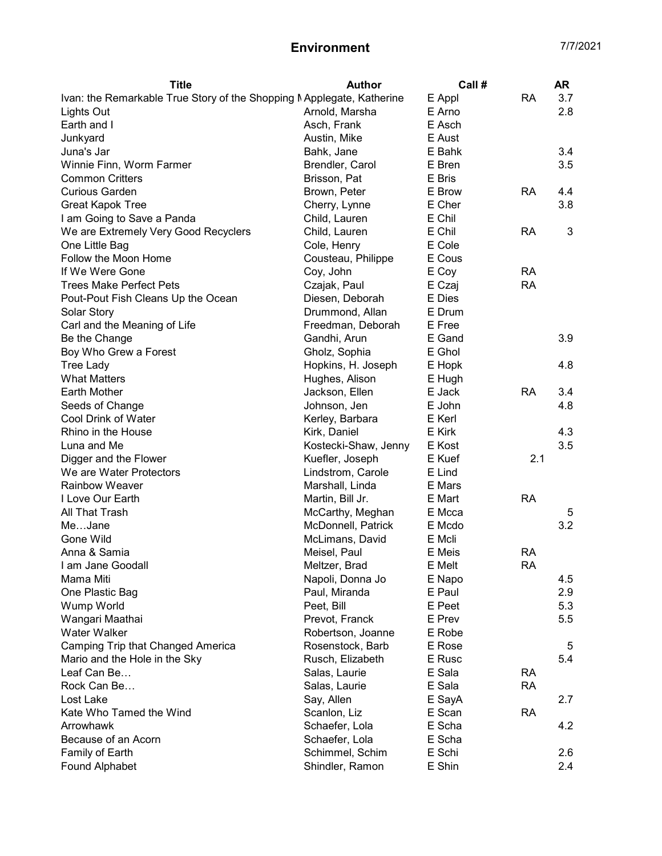## Environment 7/7/2021

| <b>Title</b>                                                          | <b>Author</b>                          | Call #           |                 | <b>AR</b>  |
|-----------------------------------------------------------------------|----------------------------------------|------------------|-----------------|------------|
| Ivan: the Remarkable True Story of the Shopping Mapplegate, Katherine |                                        | E Appl           | <b>RA</b>       | 3.7        |
| Lights Out                                                            | Arnold, Marsha                         | E Arno           |                 | 2.8        |
| Earth and I                                                           | Asch, Frank                            | E Asch           |                 |            |
| Junkyard                                                              | Austin, Mike                           | E Aust           |                 |            |
| Juna's Jar                                                            | Bahk, Jane                             | E Bahk           |                 | 3.4        |
| Winnie Finn, Worm Farmer                                              | Brendler, Carol                        | E Bren           |                 | 3.5        |
| <b>Common Critters</b>                                                | Brisson, Pat                           | E Bris           |                 |            |
| <b>Curious Garden</b>                                                 | Brown, Peter                           | E Brow           | <b>RA</b>       | 4.4        |
| Great Kapok Tree                                                      | Cherry, Lynne                          | E Cher           |                 | 3.8        |
| I am Going to Save a Panda                                            | Child, Lauren                          | E Chil           |                 |            |
| We are Extremely Very Good Recyclers                                  | Child, Lauren                          | E Chil           | <b>RA</b>       | 3          |
| One Little Bag                                                        | Cole, Henry                            | E Cole           |                 |            |
| Follow the Moon Home                                                  | Cousteau, Philippe                     | E Cous           |                 |            |
| If We Were Gone                                                       | Coy, John                              | E Coy            | <b>RA</b>       |            |
| <b>Trees Make Perfect Pets</b>                                        | Czajak, Paul                           | E Czaj           | <b>RA</b>       |            |
| Pout-Pout Fish Cleans Up the Ocean                                    | Diesen, Deborah                        | E Dies           |                 |            |
| Solar Story                                                           | Drummond, Allan                        | E Drum           |                 |            |
| Carl and the Meaning of Life                                          | Freedman, Deborah                      | E Free           |                 |            |
| Be the Change                                                         | Gandhi, Arun                           | E Gand           |                 | 3.9        |
| Boy Who Grew a Forest                                                 | Gholz, Sophia                          | E Ghol           |                 |            |
| <b>Tree Lady</b>                                                      | Hopkins, H. Joseph                     | E Hopk           |                 | 4.8        |
| <b>What Matters</b>                                                   | Hughes, Alison                         | E Hugh           |                 |            |
| <b>Earth Mother</b>                                                   | Jackson, Ellen                         | E Jack           | <b>RA</b>       | 3.4        |
| Seeds of Change                                                       | Johnson, Jen                           | E John           |                 | 4.8        |
| Cool Drink of Water                                                   | Kerley, Barbara                        | E Kerl           |                 |            |
| Rhino in the House                                                    | Kirk, Daniel                           | E Kirk           |                 | 4.3        |
| Luna and Me                                                           | Kostecki-Shaw, Jenny                   | E Kost           |                 | 3.5        |
| Digger and the Flower                                                 | Kuefler, Joseph                        | E Kuef           | 2.1             |            |
| We are Water Protectors                                               | Lindstrom, Carole                      | E Lind           |                 |            |
| <b>Rainbow Weaver</b>                                                 | Marshall, Linda                        | E Mars           |                 |            |
| I Love Our Earth                                                      | Martin, Bill Jr.                       | E Mart           | <b>RA</b>       |            |
| All That Trash                                                        |                                        | E Mcca           |                 | 5          |
| MeJane                                                                | McCarthy, Meghan<br>McDonnell, Patrick | E Mcdo           |                 | 3.2        |
| Gone Wild                                                             | McLimans, David                        | E Mcli           |                 |            |
| Anna & Samia                                                          |                                        | E Meis           |                 |            |
| I am Jane Goodall                                                     | Meisel, Paul<br>Meltzer, Brad          | E Melt           | RA<br><b>RA</b> |            |
|                                                                       |                                        |                  |                 | 4.5        |
| Mama Miti                                                             | Napoli, Donna Jo                       | E Napo<br>E Paul |                 |            |
| One Plastic Bag                                                       | Paul, Miranda                          |                  |                 | 2.9<br>5.3 |
| Wump World                                                            | Peet, Bill                             | E Peet           |                 |            |
| Wangari Maathai<br><b>Water Walker</b>                                | Prevot, Franck                         | E Prev<br>E Robe |                 | 5.5        |
|                                                                       | Robertson, Joanne                      |                  |                 |            |
| Camping Trip that Changed America                                     | Rosenstock, Barb                       | E Rose           |                 | 5          |
| Mario and the Hole in the Sky                                         | Rusch, Elizabeth                       | E Rusc           |                 | 5.4        |
| Leaf Can Be                                                           | Salas, Laurie                          | E Sala           | <b>RA</b>       |            |
| Rock Can Be                                                           | Salas, Laurie                          | E Sala           | <b>RA</b>       |            |
| Lost Lake                                                             | Say, Allen                             | E SayA           |                 | 2.7        |
| Kate Who Tamed the Wind                                               | Scanlon, Liz                           | E Scan           | <b>RA</b>       |            |
| Arrowhawk                                                             | Schaefer, Lola                         | E Scha           |                 | 4.2        |
| Because of an Acorn                                                   | Schaefer, Lola                         | E Scha           |                 |            |
| Family of Earth                                                       | Schimmel, Schim                        | E Schi           |                 | 2.6        |
| Found Alphabet                                                        | Shindler, Ramon                        | E Shin           |                 | 2.4        |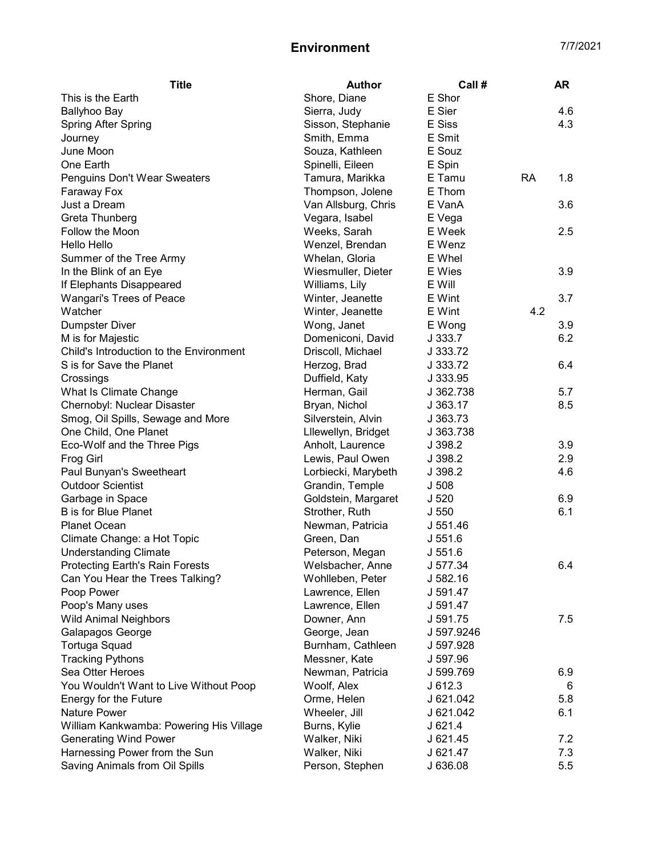## Environment 7/7/2021

| <b>Title</b>                                    | <b>Author</b>                         | Call #           |           | AR  |
|-------------------------------------------------|---------------------------------------|------------------|-----------|-----|
| This is the Earth                               | Shore, Diane                          | E Shor           |           |     |
| <b>Ballyhoo Bay</b>                             | Sierra, Judy                          | E Sier           |           | 4.6 |
| <b>Spring After Spring</b>                      | Sisson, Stephanie                     | E Siss           |           | 4.3 |
| Journey                                         | Smith, Emma                           | E Smit           |           |     |
| June Moon                                       | Souza, Kathleen                       | E Souz           |           |     |
| One Earth                                       | Spinelli, Eileen                      | E Spin           |           |     |
| Penguins Don't Wear Sweaters                    | Tamura, Marikka                       | E Tamu           | <b>RA</b> | 1.8 |
| Faraway Fox                                     | Thompson, Jolene                      | E Thom           |           |     |
| Just a Dream                                    | Van Allsburg, Chris                   | E VanA           |           | 3.6 |
| Greta Thunberg                                  | Vegara, Isabel                        | E Vega           |           |     |
| Follow the Moon                                 | Weeks, Sarah                          | E Week           |           | 2.5 |
| Hello Hello                                     | Wenzel, Brendan                       | E Wenz           |           |     |
| Summer of the Tree Army                         | Whelan, Gloria                        | E Whel           |           |     |
| In the Blink of an Eye                          | Wiesmuller, Dieter                    | E Wies           |           | 3.9 |
| If Elephants Disappeared                        | Williams, Lily                        | E Will           |           |     |
| Wangari's Trees of Peace                        | Winter, Jeanette                      | E Wint           |           | 3.7 |
| Watcher                                         | Winter, Jeanette                      | E Wint           | 4.2       |     |
| <b>Dumpster Diver</b>                           | Wong, Janet                           | E Wong           |           | 3.9 |
| M is for Majestic                               | Domeniconi, David                     | J 333.7          |           | 6.2 |
| Child's Introduction to the Environment         | Driscoll, Michael                     | J 333.72         |           |     |
| S is for Save the Planet                        | Herzog, Brad                          | J 333.72         |           | 6.4 |
| Crossings                                       | Duffield, Katy                        | J 333.95         |           |     |
| What Is Climate Change                          | Herman, Gail                          | J 362.738        |           | 5.7 |
| Chernobyl: Nuclear Disaster                     | Bryan, Nichol                         | J 363.17         |           | 8.5 |
| Smog, Oil Spills, Sewage and More               | Silverstein, Alvin                    | J 363.73         |           |     |
| One Child, One Planet                           | Lllewellyn, Bridget                   | J 363.738        |           |     |
| Eco-Wolf and the Three Pigs                     | Anholt, Laurence                      | J 398.2          |           | 3.9 |
| <b>Frog Girl</b>                                | Lewis, Paul Owen                      | J 398.2          |           | 2.9 |
| Paul Bunyan's Sweetheart                        | Lorbiecki, Marybeth                   | J 398.2          |           | 4.6 |
| <b>Outdoor Scientist</b>                        |                                       | J <sub>508</sub> |           |     |
|                                                 | Grandin, Temple                       |                  |           | 6.9 |
| Garbage in Space<br><b>B</b> is for Blue Planet | Goldstein, Margaret<br>Strother, Ruth | J <sub>520</sub> |           |     |
|                                                 |                                       | J <sub>550</sub> |           | 6.1 |
| Planet Ocean                                    | Newman, Patricia                      | J 551.46         |           |     |
| Climate Change: a Hot Topic                     | Green, Dan                            | J 551.6          |           |     |
| <b>Understanding Climate</b>                    | Peterson, Megan                       | J 551.6          |           |     |
| Protecting Earth's Rain Forests                 | Welsbacher, Anne                      | J 577.34         |           | 6.4 |
| Can You Hear the Trees Talking?                 | Wohlleben, Peter                      | J 582.16         |           |     |
| Poop Power                                      | Lawrence, Ellen                       | J 591.47         |           |     |
| Poop's Many uses                                | Lawrence, Ellen                       | J 591.47         |           |     |
| <b>Wild Animal Neighbors</b>                    | Downer, Ann                           | J 591.75         |           | 7.5 |
| Galapagos George                                | George, Jean                          | J 597.9246       |           |     |
| <b>Tortuga Squad</b>                            | Burnham, Cathleen                     | J 597.928        |           |     |
| <b>Tracking Pythons</b>                         | Messner, Kate                         | J 597.96         |           |     |
| Sea Otter Heroes                                | Newman, Patricia                      | J 599.769        |           | 6.9 |
| You Wouldn't Want to Live Without Poop          | Woolf, Alex                           | J612.3           |           | 6   |
| Energy for the Future                           | Orme, Helen                           | J 621.042        |           | 5.8 |
| Nature Power                                    | Wheeler, Jill                         | J 621.042        |           | 6.1 |
| William Kankwamba: Powering His Village         | Burns, Kylie                          | J 621.4          |           |     |
| <b>Generating Wind Power</b>                    | Walker, Niki                          | J 621.45         |           | 7.2 |
| Harnessing Power from the Sun                   | Walker, Niki                          | J 621.47         |           | 7.3 |
| Saving Animals from Oil Spills                  | Person, Stephen                       | J 636.08         |           | 5.5 |